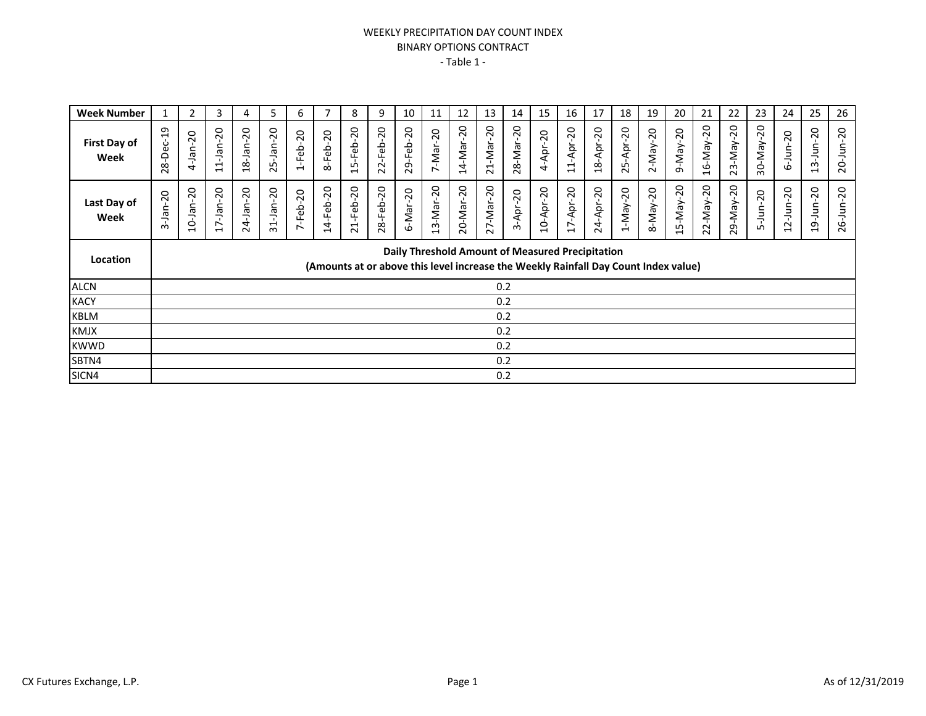## WEEKLY PRECIPITATION DAY COUNT INDEX BINARY OPTIONS CONTRACT - Table 1 -

| <b>Week Number</b>          | 1               | 2                                                                                                                                       | 3               | 4                        | 5                        | 6                                     |           | 8               | 9                          | 10        | 11                                     | 12        | 13                   | 14        | 15        | 16        | 17        | 18                                    | 19                       | 20              | 21              | 22           | 23                  | 24              | 25                                                  | 26              |
|-----------------------------|-----------------|-----------------------------------------------------------------------------------------------------------------------------------------|-----------------|--------------------------|--------------------------|---------------------------------------|-----------|-----------------|----------------------------|-----------|----------------------------------------|-----------|----------------------|-----------|-----------|-----------|-----------|---------------------------------------|--------------------------|-----------------|-----------------|--------------|---------------------|-----------------|-----------------------------------------------------|-----------------|
| <b>First Day of</b><br>Week | 28-Dec-19       | $-$ Jan $-20$<br>4                                                                                                                      | $11 - Jan - 20$ | 18-Jan-20                | $5 - Jan - 20$<br>$\sim$ | $-20$<br>$1-Feb$                      | 8-Feb-20  | 15-Feb-20       | $-20$<br>-Feb<br>22        | 29-Feb-20 | $-Mar-20$<br>$\sim$                    | 14-Mar-20 | 21-Mar-20            | 28-Mar-20 | 4-Apr-20  | 11-Apr-20 | 18-Apr-20 | $-$ Apr-20<br>25                      | $2 - May - 20$<br>$\sim$ | $9-Na-y-20$     | $16$ -May-20    | $23-Na-y-20$ | $-20$<br>30-May-    | $6 - Jun - 20$  | $-$ Jun $-20$<br>$\sim$<br>$\overline{\phantom{0}}$ | $20 - Jun - 20$ |
| Last Day of<br>Week         | $-Jan-20$<br>ന് | $10 - Jan - 20$                                                                                                                         | $17 - Jan - 20$ | $4 - Jan - 20$<br>$\sim$ | $31 - Jan - 20$          | $-Feb-20$<br>$\overline{\phantom{0}}$ | 14-Feb-20 | $21 - Feb - 20$ | $-Feb-20$<br>$\frac{8}{3}$ | 6-Mar-20  | $3-Mar-20$<br>$\overline{\phantom{0}}$ | 20-Mar-20 | $v - Max - 20$<br>27 | 3-Apr-20  | 10-Apr-20 | 17-Apr-20 | 24-Apr-20 | $-May-20$<br>$\overline{\phantom{0}}$ | $8-Na-y-20$              | $15 - May - 20$ | $22 - May - 20$ | 29-May-20    | $-$ Jun $-20$<br>Ln | $12 - Jun - 20$ | $9 - Jun - 20$<br>$\overline{\phantom{0}}$          | $26 - Jun - 20$ |
| Location                    |                 | Daily Threshold Amount of Measured Precipitation<br>(Amounts at or above this level increase the Weekly Rainfall Day Count Index value) |                 |                          |                          |                                       |           |                 |                            |           |                                        |           |                      |           |           |           |           |                                       |                          |                 |                 |              |                     |                 |                                                     |                 |
| <b>ALCN</b>                 | 0.2             |                                                                                                                                         |                 |                          |                          |                                       |           |                 |                            |           |                                        |           |                      |           |           |           |           |                                       |                          |                 |                 |              |                     |                 |                                                     |                 |
| <b>KACY</b>                 |                 |                                                                                                                                         |                 |                          |                          |                                       |           |                 |                            |           |                                        |           |                      | 0.2       |           |           |           |                                       |                          |                 |                 |              |                     |                 |                                                     |                 |
| <b>KBLM</b>                 |                 |                                                                                                                                         |                 |                          |                          |                                       |           |                 |                            |           |                                        |           |                      | 0.2       |           |           |           |                                       |                          |                 |                 |              |                     |                 |                                                     |                 |
| <b>KMJX</b>                 |                 |                                                                                                                                         |                 |                          |                          |                                       |           |                 |                            |           |                                        |           |                      | 0.2       |           |           |           |                                       |                          |                 |                 |              |                     |                 |                                                     |                 |
| <b>KWWD</b>                 |                 |                                                                                                                                         |                 |                          |                          |                                       |           |                 |                            |           |                                        |           |                      | 0.2       |           |           |           |                                       |                          |                 |                 |              |                     |                 |                                                     |                 |
| SBTN4                       |                 |                                                                                                                                         |                 |                          |                          |                                       |           |                 |                            |           |                                        |           |                      | 0.2       |           |           |           |                                       |                          |                 |                 |              |                     |                 |                                                     |                 |
| SICN4                       |                 |                                                                                                                                         |                 |                          |                          |                                       |           |                 |                            |           |                                        |           |                      | 0.2       |           |           |           |                                       |                          |                 |                 |              |                     |                 |                                                     |                 |